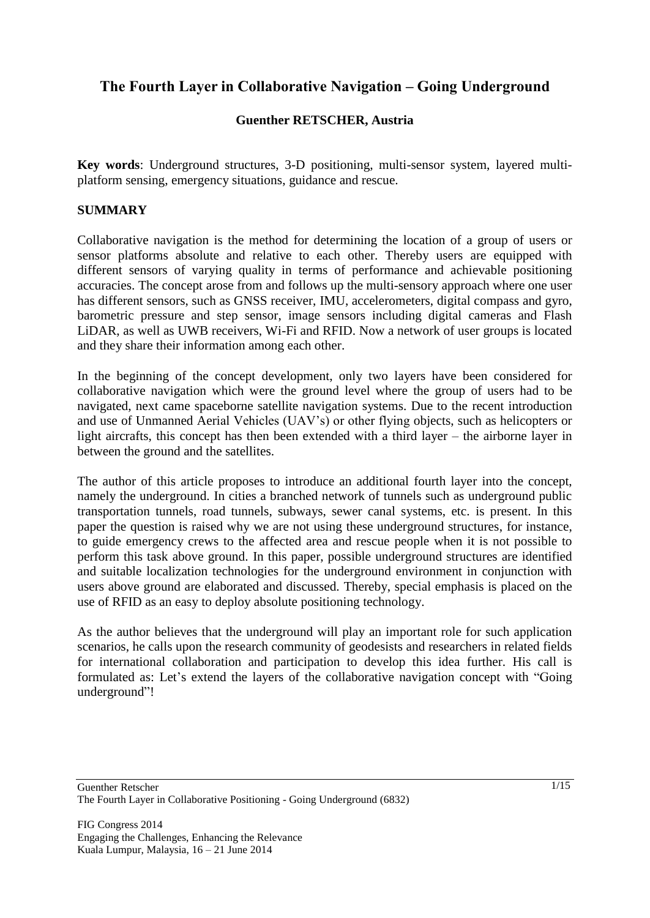# **The Fourth Layer in Collaborative Navigation – Going Underground**

## **Guenther RETSCHER, Austria**

**Key words**: Underground structures, 3-D positioning, multi-sensor system, layered multiplatform sensing, emergency situations, guidance and rescue.

## **SUMMARY**

Collaborative navigation is the method for determining the location of a group of users or sensor platforms absolute and relative to each other. Thereby users are equipped with different sensors of varying quality in terms of performance and achievable positioning accuracies. The concept arose from and follows up the multi-sensory approach where one user has different sensors, such as GNSS receiver, IMU, accelerometers, digital compass and gyro, barometric pressure and step sensor, image sensors including digital cameras and Flash LiDAR, as well as UWB receivers, Wi-Fi and RFID. Now a network of user groups is located and they share their information among each other.

In the beginning of the concept development, only two layers have been considered for collaborative navigation which were the ground level where the group of users had to be navigated, next came spaceborne satellite navigation systems. Due to the recent introduction and use of Unmanned Aerial Vehicles (UAV"s) or other flying objects, such as helicopters or light aircrafts, this concept has then been extended with a third layer – the airborne layer in between the ground and the satellites.

The author of this article proposes to introduce an additional fourth layer into the concept, namely the underground. In cities a branched network of tunnels such as underground public transportation tunnels, road tunnels, subways, sewer canal systems, etc. is present. In this paper the question is raised why we are not using these underground structures, for instance, to guide emergency crews to the affected area and rescue people when it is not possible to perform this task above ground. In this paper, possible underground structures are identified and suitable localization technologies for the underground environment in conjunction with users above ground are elaborated and discussed. Thereby, special emphasis is placed on the use of RFID as an easy to deploy absolute positioning technology.

As the author believes that the underground will play an important role for such application scenarios, he calls upon the research community of geodesists and researchers in related fields for international collaboration and participation to develop this idea further. His call is formulated as: Let's extend the layers of the collaborative navigation concept with "Going" underground"!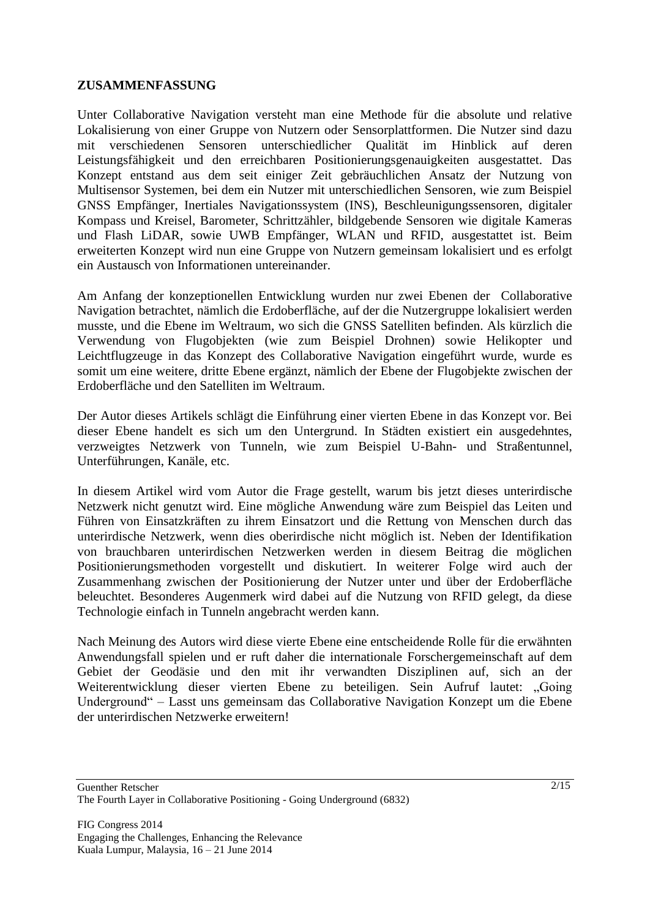#### **ZUSAMMENFASSUNG**

Unter Collaborative Navigation versteht man eine Methode für die absolute und relative Lokalisierung von einer Gruppe von Nutzern oder Sensorplattformen. Die Nutzer sind dazu mit verschiedenen Sensoren unterschiedlicher Qualität im Hinblick auf deren Leistungsfähigkeit und den erreichbaren Positionierungsgenauigkeiten ausgestattet. Das Konzept entstand aus dem seit einiger Zeit gebräuchlichen Ansatz der Nutzung von Multisensor Systemen, bei dem ein Nutzer mit unterschiedlichen Sensoren, wie zum Beispiel GNSS Empfänger, Inertiales Navigationssystem (INS), Beschleunigungssensoren, digitaler Kompass und Kreisel, Barometer, Schrittzähler, bildgebende Sensoren wie digitale Kameras und Flash LiDAR, sowie UWB Empfänger, WLAN und RFID, ausgestattet ist. Beim erweiterten Konzept wird nun eine Gruppe von Nutzern gemeinsam lokalisiert und es erfolgt ein Austausch von Informationen untereinander.

Am Anfang der konzeptionellen Entwicklung wurden nur zwei Ebenen der Collaborative Navigation betrachtet, nämlich die Erdoberfläche, auf der die Nutzergruppe lokalisiert werden musste, und die Ebene im Weltraum, wo sich die GNSS Satelliten befinden. Als kürzlich die Verwendung von Flugobjekten (wie zum Beispiel Drohnen) sowie Helikopter und Leichtflugzeuge in das Konzept des Collaborative Navigation eingeführt wurde, wurde es somit um eine weitere, dritte Ebene ergänzt, nämlich der Ebene der Flugobjekte zwischen der Erdoberfläche und den Satelliten im Weltraum.

Der Autor dieses Artikels schlägt die Einführung einer vierten Ebene in das Konzept vor. Bei dieser Ebene handelt es sich um den Untergrund. In Städten existiert ein ausgedehntes, verzweigtes Netzwerk von Tunneln, wie zum Beispiel U-Bahn- und Straßentunnel, Unterführungen, Kanäle, etc.

In diesem Artikel wird vom Autor die Frage gestellt, warum bis jetzt dieses unterirdische Netzwerk nicht genutzt wird. Eine mögliche Anwendung wäre zum Beispiel das Leiten und Führen von Einsatzkräften zu ihrem Einsatzort und die Rettung von Menschen durch das unterirdische Netzwerk, wenn dies oberirdische nicht möglich ist. Neben der Identifikation von brauchbaren unterirdischen Netzwerken werden in diesem Beitrag die möglichen Positionierungsmethoden vorgestellt und diskutiert. In weiterer Folge wird auch der Zusammenhang zwischen der Positionierung der Nutzer unter und über der Erdoberfläche beleuchtet. Besonderes Augenmerk wird dabei auf die Nutzung von RFID gelegt, da diese Technologie einfach in Tunneln angebracht werden kann.

Nach Meinung des Autors wird diese vierte Ebene eine entscheidende Rolle für die erwähnten Anwendungsfall spielen und er ruft daher die internationale Forschergemeinschaft auf dem Gebiet der Geodäsie und den mit ihr verwandten Disziplinen auf, sich an der Weiterentwicklung dieser vierten Ebene zu beteiligen. Sein Aufruf lautet: "Going Underground" – Lasst uns gemeinsam das Collaborative Navigation Konzept um die Ebene der unterirdischen Netzwerke erweitern!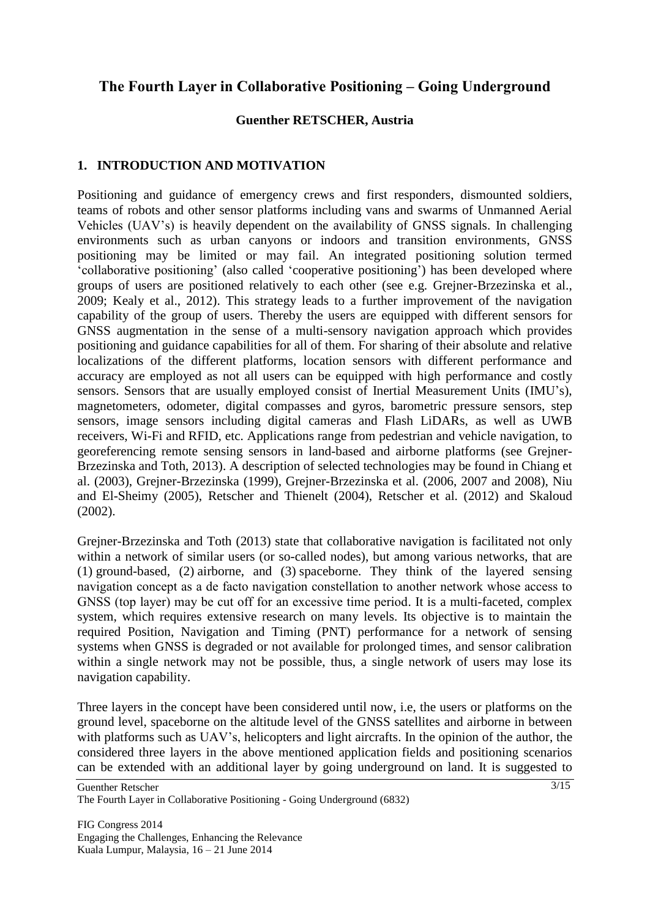## **The Fourth Layer in Collaborative Positioning – Going Underground**

#### **Guenther RETSCHER, Austria**

## **1. INTRODUCTION AND MOTIVATION**

Positioning and guidance of emergency crews and first responders, dismounted soldiers, teams of robots and other sensor platforms including vans and swarms of Unmanned Aerial Vehicles (UAV"s) is heavily dependent on the availability of GNSS signals. In challenging environments such as urban canyons or indoors and transition environments, GNSS positioning may be limited or may fail. An integrated positioning solution termed "collaborative positioning" (also called "cooperative positioning") has been developed where groups of users are positioned relatively to each other (see e.g. Grejner-Brzezinska et al., 2009; Kealy et al., 2012). This strategy leads to a further improvement of the navigation capability of the group of users. Thereby the users are equipped with different sensors for GNSS augmentation in the sense of a multi-sensory navigation approach which provides positioning and guidance capabilities for all of them. For sharing of their absolute and relative localizations of the different platforms, location sensors with different performance and accuracy are employed as not all users can be equipped with high performance and costly sensors. Sensors that are usually employed consist of Inertial Measurement Units (IMU"s), magnetometers, odometer, digital compasses and gyros, barometric pressure sensors, step sensors, image sensors including digital cameras and Flash LiDARs, as well as UWB receivers, Wi-Fi and RFID, etc. Applications range from pedestrian and vehicle navigation, to georeferencing remote sensing sensors in land-based and airborne platforms (see Grejner-Brzezinska and Toth, 2013). A description of selected technologies may be found in Chiang et al. (2003), Grejner-Brzezinska (1999), Grejner-Brzezinska et al. (2006, 2007 and 2008), Niu and El-Sheimy (2005), Retscher and Thienelt (2004), Retscher et al. (2012) and Skaloud (2002).

Grejner-Brzezinska and Toth (2013) state that collaborative navigation is facilitated not only within a network of similar users (or so-called nodes), but among various networks, that are (1) ground-based, (2) airborne, and (3) spaceborne. They think of the layered sensing navigation concept as a de facto navigation constellation to another network whose access to GNSS (top layer) may be cut off for an excessive time period. It is a multi-faceted, complex system, which requires extensive research on many levels. Its objective is to maintain the required Position, Navigation and Timing (PNT) performance for a network of sensing systems when GNSS is degraded or not available for prolonged times, and sensor calibration within a single network may not be possible, thus, a single network of users may lose its navigation capability.

Three layers in the concept have been considered until now, i.e, the users or platforms on the ground level, spaceborne on the altitude level of the GNSS satellites and airborne in between with platforms such as UAV's, helicopters and light aircrafts. In the opinion of the author, the considered three layers in the above mentioned application fields and positioning scenarios can be extended with an additional layer by going underground on land. It is suggested to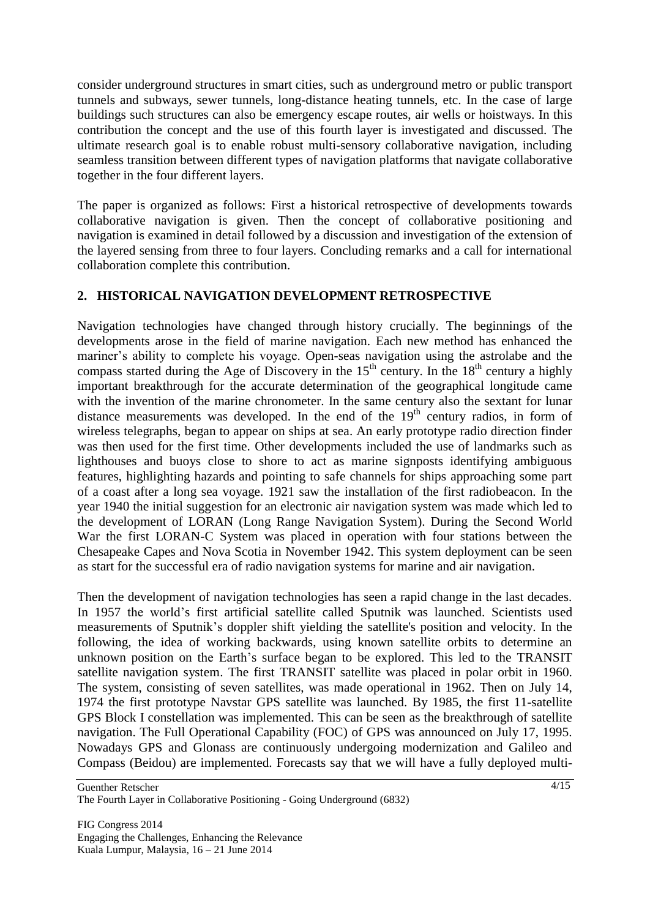consider underground structures in smart cities, such as underground metro or public transport tunnels and subways, sewer tunnels, long-distance heating tunnels, etc. In the case of large buildings such structures can also be emergency escape routes, air wells or hoistways. In this contribution the concept and the use of this fourth layer is investigated and discussed. The ultimate research goal is to enable robust multi-sensory collaborative navigation, including seamless transition between different types of navigation platforms that navigate collaborative together in the four different layers.

The paper is organized as follows: First a historical retrospective of developments towards collaborative navigation is given. Then the concept of collaborative positioning and navigation is examined in detail followed by a discussion and investigation of the extension of the layered sensing from three to four layers. Concluding remarks and a call for international collaboration complete this contribution.

## **2. HISTORICAL NAVIGATION DEVELOPMENT RETROSPECTIVE**

Navigation technologies have changed through history crucially. The beginnings of the developments arose in the field of marine navigation. Each new method has enhanced the mariner's ability to complete his voyage. Open-seas navigation using the astrolabe and the compass started during the Age of Discovery in the  $15<sup>th</sup>$  century. In the  $18<sup>th</sup>$  century a highly important breakthrough for the accurate determination of the geographical longitude came with the invention of the marine chronometer. In the same century also the sextant for lunar distance measurements was developed. In the end of the  $19<sup>th</sup>$  century radios, in form of wireless telegraphs, began to appear on ships at sea. An early prototype radio direction finder was then used for the first time. Other developments included the use of landmarks such as lighthouses and buoys close to shore to act as marine signposts identifying ambiguous features, highlighting hazards and pointing to safe channels for ships approaching some part of a coast after a long sea voyage. 1921 saw the installation of the first radiobeacon. In the year 1940 the initial suggestion for an electronic air navigation system was made which led to the development of LORAN (Long Range Navigation System). During the Second World War the first LORAN-C System was placed in operation with four stations between the Chesapeake Capes and Nova Scotia in November 1942. This system deployment can be seen as start for the successful era of radio navigation systems for marine and air navigation.

Then the development of navigation technologies has seen a rapid change in the last decades. In 1957 the world"s first artificial satellite called Sputnik was launched. Scientists used measurements of Sputnik"s doppler shift yielding the satellite's position and velocity. In the following, the idea of working backwards, using known satellite orbits to determine an unknown position on the Earth"s surface began to be explored. This led to the TRANSIT satellite navigation system. The first TRANSIT satellite was placed in polar orbit in 1960. The system, consisting of seven satellites, was made operational in 1962. Then on July 14, 1974 the first prototype Navstar GPS satellite was launched. By 1985, the first 11-satellite GPS Block I constellation was implemented. This can be seen as the breakthrough of satellite navigation. The Full Operational Capability (FOC) of GPS was announced on July 17, 1995. Nowadays GPS and Glonass are continuously undergoing modernization and Galileo and Compass (Beidou) are implemented. Forecasts say that we will have a fully deployed multi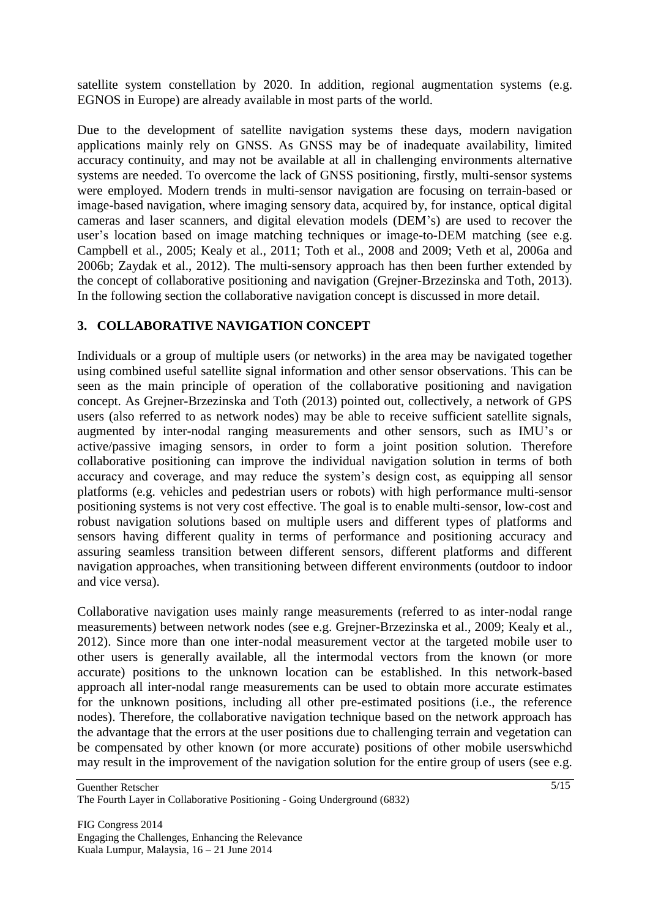satellite system constellation by 2020. In addition, regional augmentation systems (e.g. EGNOS in Europe) are already available in most parts of the world.

Due to the development of satellite navigation systems these days, modern navigation applications mainly rely on GNSS. As GNSS may be of inadequate availability, limited accuracy continuity, and may not be available at all in challenging environments alternative systems are needed. To overcome the lack of GNSS positioning, firstly, multi-sensor systems were employed. Modern trends in multi-sensor navigation are focusing on terrain-based or image-based navigation, where imaging sensory data, acquired by, for instance, optical digital cameras and laser scanners, and digital elevation models (DEM"s) are used to recover the user's location based on image matching techniques or image-to-DEM matching (see e.g. Campbell et al., 2005; Kealy et al., 2011; Toth et al., 2008 and 2009; Veth et al, 2006a and 2006b; Zaydak et al., 2012). The multi-sensory approach has then been further extended by the concept of collaborative positioning and navigation (Grejner-Brzezinska and Toth, 2013). In the following section the collaborative navigation concept is discussed in more detail.

## **3. COLLABORATIVE NAVIGATION CONCEPT**

Individuals or a group of multiple users (or networks) in the area may be navigated together using combined useful satellite signal information and other sensor observations. This can be seen as the main principle of operation of the collaborative positioning and navigation concept. As Grejner-Brzezinska and Toth (2013) pointed out, collectively, a network of GPS users (also referred to as network nodes) may be able to receive sufficient satellite signals, augmented by inter-nodal ranging measurements and other sensors, such as IMU"s or active/passive imaging sensors, in order to form a joint position solution. Therefore collaborative positioning can improve the individual navigation solution in terms of both accuracy and coverage, and may reduce the system"s design cost, as equipping all sensor platforms (e.g. vehicles and pedestrian users or robots) with high performance multi-sensor positioning systems is not very cost effective. The goal is to enable multi-sensor, low-cost and robust navigation solutions based on multiple users and different types of platforms and sensors having different quality in terms of performance and positioning accuracy and assuring seamless transition between different sensors, different platforms and different navigation approaches, when transitioning between different environments (outdoor to indoor and vice versa).

Collaborative navigation uses mainly range measurements (referred to as inter-nodal range measurements) between network nodes (see e.g. Grejner-Brzezinska et al., 2009; Kealy et al., 2012). Since more than one inter-nodal measurement vector at the targeted mobile user to other users is generally available, all the intermodal vectors from the known (or more accurate) positions to the unknown location can be established. In this network-based approach all inter-nodal range measurements can be used to obtain more accurate estimates for the unknown positions, including all other pre-estimated positions (i.e., the reference nodes). Therefore, the collaborative navigation technique based on the network approach has the advantage that the errors at the user positions due to challenging terrain and vegetation can be compensated by other known (or more accurate) positions of other mobile userswhichd may result in the improvement of the navigation solution for the entire group of users (see e.g.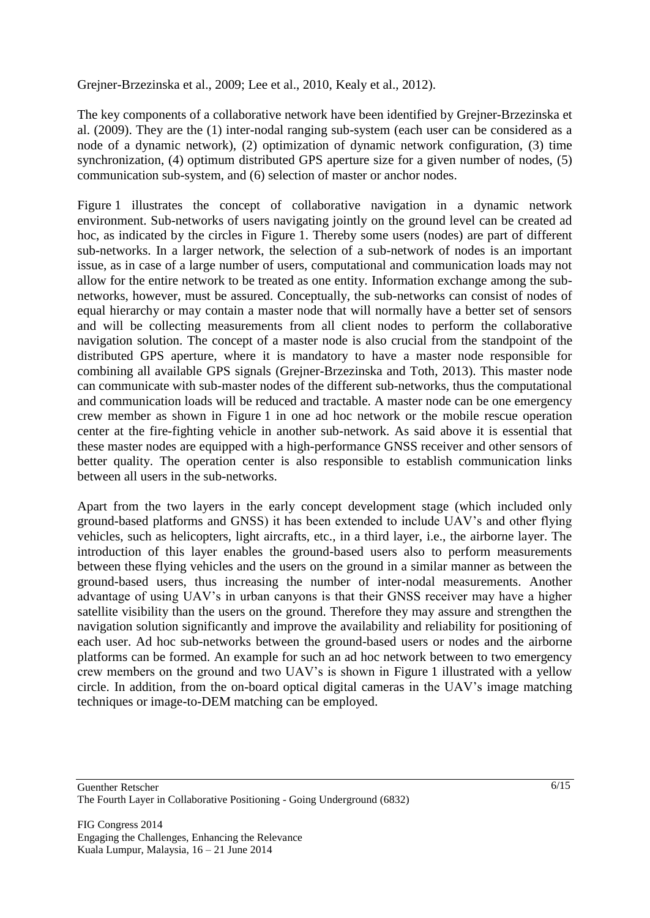Grejner-Brzezinska et al., 2009; Lee et al., 2010, Kealy et al., 2012).

The key components of a collaborative network have been identified by Grejner-Brzezinska et al. (2009). They are the (1) inter-nodal ranging sub-system (each user can be considered as a node of a dynamic network), (2) optimization of dynamic network configuration, (3) time synchronization, (4) optimum distributed GPS aperture size for a given number of nodes, (5) communication sub-system, and (6) selection of master or anchor nodes.

Figure 1 illustrates the concept of collaborative navigation in a dynamic network environment. Sub-networks of users navigating jointly on the ground level can be created ad hoc, as indicated by the circles in Figure 1. Thereby some users (nodes) are part of different sub-networks. In a larger network, the selection of a sub-network of nodes is an important issue, as in case of a large number of users, computational and communication loads may not allow for the entire network to be treated as one entity. Information exchange among the subnetworks, however, must be assured. Conceptually, the sub-networks can consist of nodes of equal hierarchy or may contain a master node that will normally have a better set of sensors and will be collecting measurements from all client nodes to perform the collaborative navigation solution. The concept of a master node is also crucial from the standpoint of the distributed GPS aperture, where it is mandatory to have a master node responsible for combining all available GPS signals (Grejner-Brzezinska and Toth, 2013). This master node can communicate with sub-master nodes of the different sub-networks, thus the computational and communication loads will be reduced and tractable. A master node can be one emergency crew member as shown in Figure 1 in one ad hoc network or the mobile rescue operation center at the fire-fighting vehicle in another sub-network. As said above it is essential that these master nodes are equipped with a high-performance GNSS receiver and other sensors of better quality. The operation center is also responsible to establish communication links between all users in the sub-networks.

Apart from the two layers in the early concept development stage (which included only ground-based platforms and GNSS) it has been extended to include UAV"s and other flying vehicles, such as helicopters, light aircrafts, etc., in a third layer, i.e., the airborne layer. The introduction of this layer enables the ground-based users also to perform measurements between these flying vehicles and the users on the ground in a similar manner as between the ground-based users, thus increasing the number of inter-nodal measurements. Another advantage of using UAV"s in urban canyons is that their GNSS receiver may have a higher satellite visibility than the users on the ground. Therefore they may assure and strengthen the navigation solution significantly and improve the availability and reliability for positioning of each user. Ad hoc sub-networks between the ground-based users or nodes and the airborne platforms can be formed. An example for such an ad hoc network between to two emergency crew members on the ground and two UAV"s is shown in Figure 1 illustrated with a yellow circle. In addition, from the on-board optical digital cameras in the UAV"s image matching techniques or image-to-DEM matching can be employed.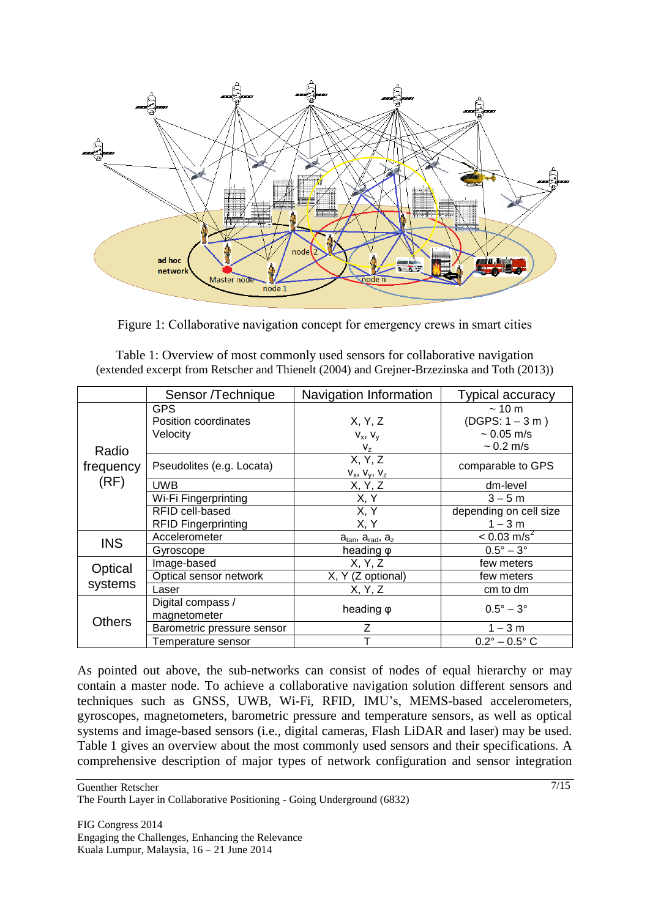

Figure 1: Collaborative navigation concept for emergency crews in smart cities

|                            | Sensor /Technique                  | Navigation Information           | <b>Typical accuracy</b>                |
|----------------------------|------------------------------------|----------------------------------|----------------------------------------|
| Radio<br>frequency<br>(RF) | <b>GPS</b><br>Position coordinates |                                  | ~10~ <sub>m</sub><br>$(DGPS: 1 - 3 m)$ |
|                            |                                    | X, Y, Z                          |                                        |
|                            | Velocity                           | $V_x$ , $V_y$                    | $~1$ 0.05 m/s                          |
|                            |                                    | $V_{Z}$                          | $\sim 0.2 \text{ m/s}$                 |
|                            | Pseudolites (e.g. Locata)          | X, Y, Z<br>$V_x$ , $V_y$ , $V_z$ | comparable to GPS                      |
|                            | <b>UWB</b>                         | X, Y, Z                          | dm-level                               |
|                            | Wi-Fi Fingerprinting               | X, Y                             | $3 - 5m$                               |
|                            | RFID cell-based                    | X, Y                             | depending on cell size                 |
|                            | <b>RFID Fingerprinting</b>         | X, Y                             | $1 - 3 m$                              |
| <b>INS</b>                 | Accelerometer                      | $a_{tan}$ , $a_{rad}$ , $a_{z}$  | $< 0.03$ m/s <sup>2</sup>              |
|                            | Gyroscope                          | heading $\varphi$                | $0.5^\circ - 3^\circ$                  |
| Optical<br>systems         | Image-based                        | X, Y, Z                          | few meters                             |
|                            | Optical sensor network             | X, Y (Z optional)                | few meters                             |
|                            | Laser                              | X, Y, Z                          | cm to dm                               |
| <b>Others</b>              | Digital compass /                  | heading $\varphi$                | $0.5^{\circ} - 3^{\circ}$              |
|                            | magnetometer                       |                                  |                                        |
|                            | Barometric pressure sensor         |                                  | $1 - 3 m$                              |
|                            | Temperature sensor                 |                                  | $0.2^{\circ} - 0.5^{\circ}$ C          |

Table 1: Overview of most commonly used sensors for collaborative navigation (extended excerpt from Retscher and Thienelt (2004) and Grejner-Brzezinska and Toth (2013))

As pointed out above, the sub-networks can consist of nodes of equal hierarchy or may contain a master node. To achieve a collaborative navigation solution different sensors and techniques such as GNSS, UWB, Wi-Fi, RFID, IMU"s, MEMS-based accelerometers, gyroscopes, magnetometers, barometric pressure and temperature sensors, as well as optical systems and image-based sensors (i.e., digital cameras, Flash LiDAR and laser) may be used. Table 1 gives an overview about the most commonly used sensors and their specifications. A comprehensive description of major types of network configuration and sensor integration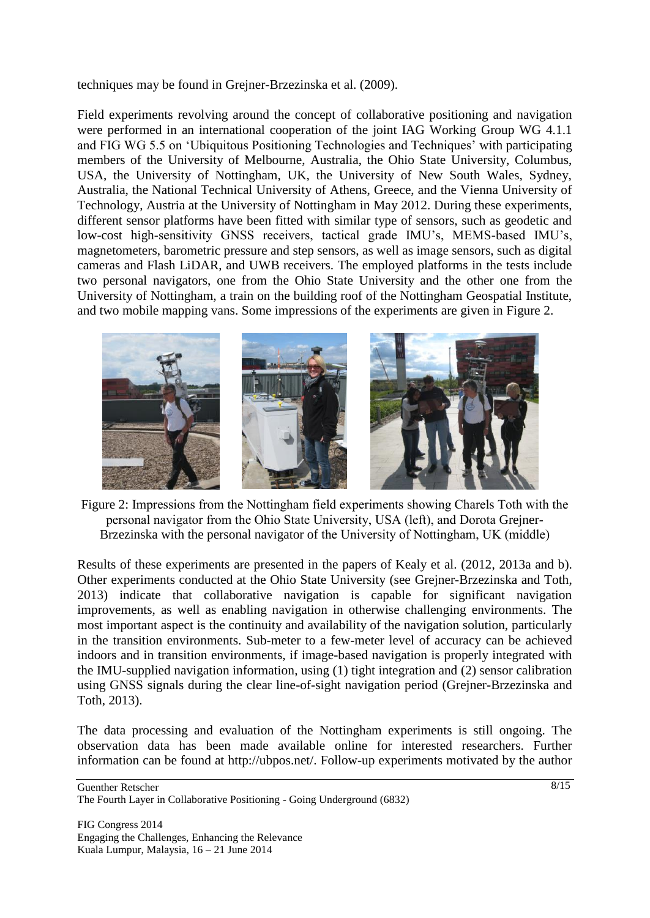techniques may be found in Grejner-Brzezinska et al. (2009).

Field experiments revolving around the concept of collaborative positioning and navigation were performed in an international cooperation of the joint IAG Working Group WG 4.1.1 and FIG WG 5.5 on 'Ubiquitous Positioning Technologies and Techniques' with participating members of the University of Melbourne, Australia, the Ohio State University, Columbus, USA, the University of Nottingham, UK, the University of New South Wales, Sydney, Australia, the National Technical University of Athens, Greece, and the Vienna University of Technology, Austria at the University of Nottingham in May 2012. During these experiments, different sensor platforms have been fitted with similar type of sensors, such as geodetic and low-cost high-sensitivity GNSS receivers, tactical grade IMU's, MEMS-based IMU's, magnetometers, barometric pressure and step sensors, as well as image sensors, such as digital cameras and Flash LiDAR, and UWB receivers. The employed platforms in the tests include two personal navigators, one from the Ohio State University and the other one from the University of Nottingham, a train on the building roof of the Nottingham Geospatial Institute, and two mobile mapping vans. Some impressions of the experiments are given in Figure 2.



Figure 2: Impressions from the Nottingham field experiments showing Charels Toth with the personal navigator from the Ohio State University, USA (left), and Dorota Grejner-Brzezinska with the personal navigator of the University of Nottingham, UK (middle)

Results of these experiments are presented in the papers of Kealy et al. (2012, 2013a and b). Other experiments conducted at the Ohio State University (see Grejner-Brzezinska and Toth, 2013) indicate that collaborative navigation is capable for significant navigation improvements, as well as enabling navigation in otherwise challenging environments. The most important aspect is the continuity and availability of the navigation solution, particularly in the transition environments. Sub-meter to a few-meter level of accuracy can be achieved indoors and in transition environments, if image-based navigation is properly integrated with the IMU-supplied navigation information, using (1) tight integration and (2) sensor calibration using GNSS signals during the clear line-of-sight navigation period (Grejner-Brzezinska and Toth, 2013).

The data processing and evaluation of the Nottingham experiments is still ongoing. The observation data has been made available online for interested researchers. Further information can be found at http://ubpos.net/. Follow-up experiments motivated by the author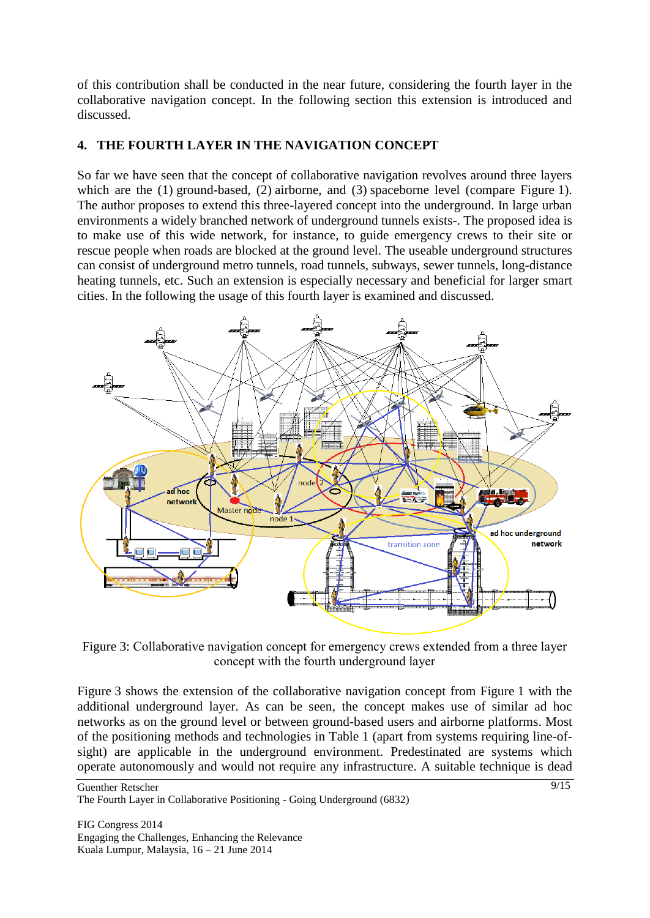of this contribution shall be conducted in the near future, considering the fourth layer in the collaborative navigation concept. In the following section this extension is introduced and discussed.

## **4. THE FOURTH LAYER IN THE NAVIGATION CONCEPT**

So far we have seen that the concept of collaborative navigation revolves around three layers which are the (1) ground-based, (2) airborne, and (3) spaceborne level (compare Figure 1). The author proposes to extend this three-layered concept into the underground. In large urban environments a widely branched network of underground tunnels exists-. The proposed idea is to make use of this wide network, for instance, to guide emergency crews to their site or rescue people when roads are blocked at the ground level. The useable underground structures can consist of underground metro tunnels, road tunnels, subways, sewer tunnels, long-distance heating tunnels, etc. Such an extension is especially necessary and beneficial for larger smart cities. In the following the usage of this fourth layer is examined and discussed.



Figure 3: Collaborative navigation concept for emergency crews extended from a three layer concept with the fourth underground layer

Figure 3 shows the extension of the collaborative navigation concept from Figure 1 with the additional underground layer. As can be seen, the concept makes use of similar ad hoc networks as on the ground level or between ground-based users and airborne platforms. Most of the positioning methods and technologies in Table 1 (apart from systems requiring line-ofsight) are applicable in the underground environment. Predestinated are systems which operate autonomously and would not require any infrastructure. A suitable technique is dead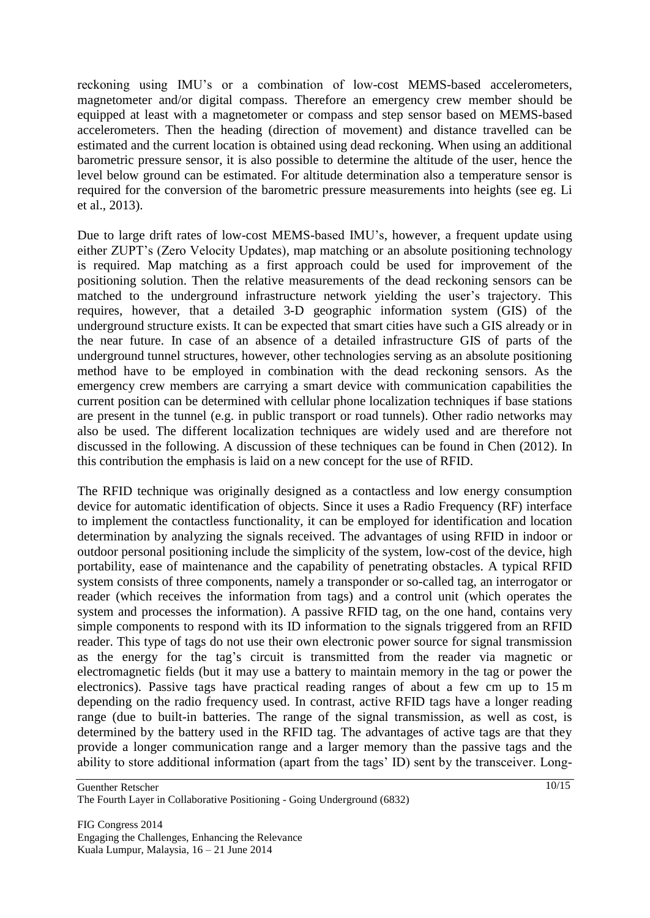reckoning using IMU"s or a combination of low-cost MEMS-based accelerometers, magnetometer and/or digital compass. Therefore an emergency crew member should be equipped at least with a magnetometer or compass and step sensor based on MEMS-based accelerometers. Then the heading (direction of movement) and distance travelled can be estimated and the current location is obtained using dead reckoning. When using an additional barometric pressure sensor, it is also possible to determine the altitude of the user, hence the level below ground can be estimated. For altitude determination also a temperature sensor is required for the conversion of the barometric pressure measurements into heights (see eg. Li et al., 2013).

Due to large drift rates of low-cost MEMS-based IMU"s, however, a frequent update using either ZUPT"s (Zero Velocity Updates), map matching or an absolute positioning technology is required. Map matching as a first approach could be used for improvement of the positioning solution. Then the relative measurements of the dead reckoning sensors can be matched to the underground infrastructure network yielding the user's trajectory. This requires, however, that a detailed 3-D geographic information system (GIS) of the underground structure exists. It can be expected that smart cities have such a GIS already or in the near future. In case of an absence of a detailed infrastructure GIS of parts of the underground tunnel structures, however, other technologies serving as an absolute positioning method have to be employed in combination with the dead reckoning sensors. As the emergency crew members are carrying a smart device with communication capabilities the current position can be determined with cellular phone localization techniques if base stations are present in the tunnel (e.g. in public transport or road tunnels). Other radio networks may also be used. The different localization techniques are widely used and are therefore not discussed in the following. A discussion of these techniques can be found in Chen (2012). In this contribution the emphasis is laid on a new concept for the use of RFID.

The RFID technique was originally designed as a contactless and low energy consumption device for automatic identification of objects. Since it uses a Radio Frequency (RF) interface to implement the contactless functionality, it can be employed for identification and location determination by analyzing the signals received. The advantages of using RFID in indoor or outdoor personal positioning include the simplicity of the system, low-cost of the device, high portability, ease of maintenance and the capability of penetrating obstacles. A typical RFID system consists of three components, namely a transponder or so-called tag, an interrogator or reader (which receives the information from tags) and a control unit (which operates the system and processes the information). A passive RFID tag, on the one hand, contains very simple components to respond with its ID information to the signals triggered from an RFID reader. This type of tags do not use their own electronic power source for signal transmission as the energy for the tag's circuit is transmitted from the reader via magnetic or electromagnetic fields (but it may use a battery to maintain memory in the tag or power the electronics). Passive tags have practical reading ranges of about a few cm up to 15 m depending on the radio frequency used. In contrast, active RFID tags have a longer reading range (due to built-in batteries. The range of the signal transmission, as well as cost, is determined by the battery used in the RFID tag. The advantages of active tags are that they provide a longer communication range and a larger memory than the passive tags and the ability to store additional information (apart from the tags" ID) sent by the transceiver. Long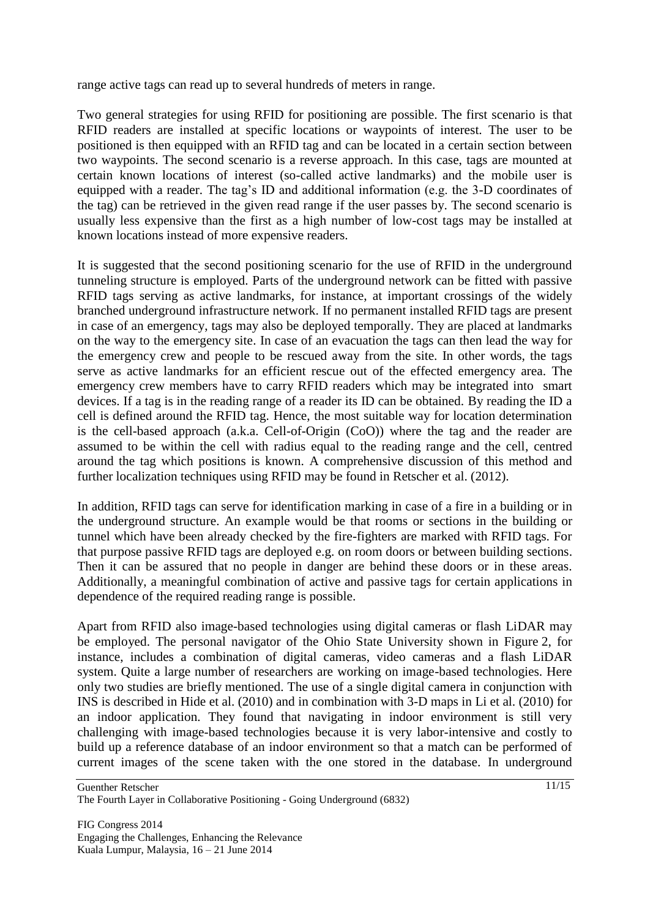range active tags can read up to several hundreds of meters in range.

Two general strategies for using RFID for positioning are possible. The first scenario is that RFID readers are installed at specific locations or waypoints of interest. The user to be positioned is then equipped with an RFID tag and can be located in a certain section between two waypoints. The second scenario is a reverse approach. In this case, tags are mounted at certain known locations of interest (so-called active landmarks) and the mobile user is equipped with a reader. The tag"s ID and additional information (e.g. the 3-D coordinates of the tag) can be retrieved in the given read range if the user passes by. The second scenario is usually less expensive than the first as a high number of low-cost tags may be installed at known locations instead of more expensive readers.

It is suggested that the second positioning scenario for the use of RFID in the underground tunneling structure is employed. Parts of the underground network can be fitted with passive RFID tags serving as active landmarks, for instance, at important crossings of the widely branched underground infrastructure network. If no permanent installed RFID tags are present in case of an emergency, tags may also be deployed temporally. They are placed at landmarks on the way to the emergency site. In case of an evacuation the tags can then lead the way for the emergency crew and people to be rescued away from the site. In other words, the tags serve as active landmarks for an efficient rescue out of the effected emergency area. The emergency crew members have to carry RFID readers which may be integrated into smart devices. If a tag is in the reading range of a reader its ID can be obtained. By reading the ID a cell is defined around the RFID tag. Hence, the most suitable way for location determination is the cell-based approach (a.k.a. Cell-of-Origin (CoO)) where the tag and the reader are assumed to be within the cell with radius equal to the reading range and the cell, centred around the tag which positions is known. A comprehensive discussion of this method and further localization techniques using RFID may be found in Retscher et al. (2012).

In addition, RFID tags can serve for identification marking in case of a fire in a building or in the underground structure. An example would be that rooms or sections in the building or tunnel which have been already checked by the fire-fighters are marked with RFID tags. For that purpose passive RFID tags are deployed e.g. on room doors or between building sections. Then it can be assured that no people in danger are behind these doors or in these areas. Additionally, a meaningful combination of active and passive tags for certain applications in dependence of the required reading range is possible.

Apart from RFID also image-based technologies using digital cameras or flash LiDAR may be employed. The personal navigator of the Ohio State University shown in Figure 2, for instance, includes a combination of digital cameras, video cameras and a flash LiDAR system. Quite a large number of researchers are working on image-based technologies. Here only two studies are briefly mentioned. The use of a single digital camera in conjunction with INS is described in Hide et al. (2010) and in combination with 3-D maps in Li et al. (2010) for an indoor application. They found that navigating in indoor environment is still very challenging with image-based technologies because it is very labor-intensive and costly to build up a reference database of an indoor environment so that a match can be performed of current images of the scene taken with the one stored in the database. In underground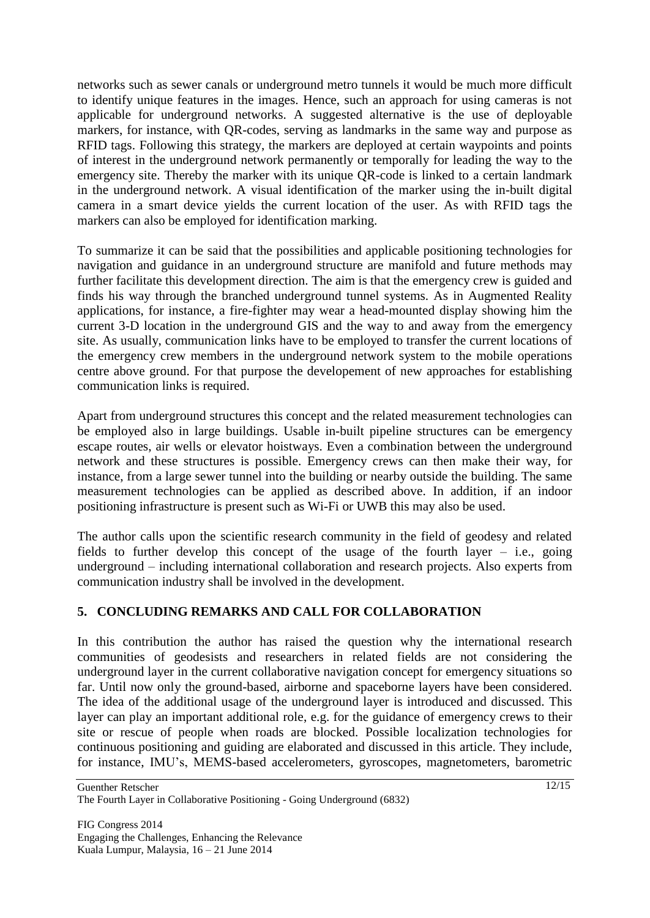networks such as sewer canals or underground metro tunnels it would be much more difficult to identify unique features in the images. Hence, such an approach for using cameras is not applicable for underground networks. A suggested alternative is the use of deployable markers, for instance, with QR-codes, serving as landmarks in the same way and purpose as RFID tags. Following this strategy, the markers are deployed at certain waypoints and points of interest in the underground network permanently or temporally for leading the way to the emergency site. Thereby the marker with its unique QR-code is linked to a certain landmark in the underground network. A visual identification of the marker using the in-built digital camera in a smart device yields the current location of the user. As with RFID tags the markers can also be employed for identification marking.

To summarize it can be said that the possibilities and applicable positioning technologies for navigation and guidance in an underground structure are manifold and future methods may further facilitate this development direction. The aim is that the emergency crew is guided and finds his way through the branched underground tunnel systems. As in Augmented Reality applications, for instance, a fire-fighter may wear a head-mounted display showing him the current 3-D location in the underground GIS and the way to and away from the emergency site. As usually, communication links have to be employed to transfer the current locations of the emergency crew members in the underground network system to the mobile operations centre above ground. For that purpose the developement of new approaches for establishing communication links is required.

Apart from underground structures this concept and the related measurement technologies can be employed also in large buildings. Usable in-built pipeline structures can be emergency escape routes, air wells or elevator hoistways. Even a combination between the underground network and these structures is possible. Emergency crews can then make their way, for instance, from a large sewer tunnel into the building or nearby outside the building. The same measurement technologies can be applied as described above. In addition, if an indoor positioning infrastructure is present such as Wi-Fi or UWB this may also be used.

The author calls upon the scientific research community in the field of geodesy and related fields to further develop this concept of the usage of the fourth layer – i.e., going underground – including international collaboration and research projects. Also experts from communication industry shall be involved in the development.

## **5. CONCLUDING REMARKS AND CALL FOR COLLABORATION**

In this contribution the author has raised the question why the international research communities of geodesists and researchers in related fields are not considering the underground layer in the current collaborative navigation concept for emergency situations so far. Until now only the ground-based, airborne and spaceborne layers have been considered. The idea of the additional usage of the underground layer is introduced and discussed. This layer can play an important additional role, e.g. for the guidance of emergency crews to their site or rescue of people when roads are blocked. Possible localization technologies for continuous positioning and guiding are elaborated and discussed in this article. They include, for instance, IMU"s, MEMS-based accelerometers, gyroscopes, magnetometers, barometric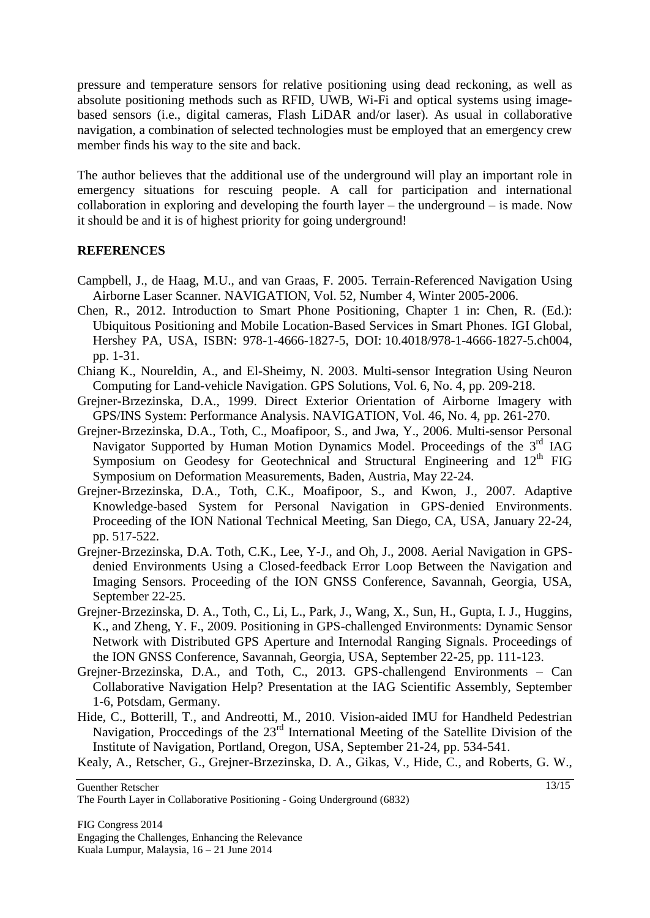pressure and temperature sensors for relative positioning using dead reckoning, as well as absolute positioning methods such as RFID, UWB, Wi-Fi and optical systems using imagebased sensors (i.e., digital cameras, Flash LiDAR and/or laser). As usual in collaborative navigation, a combination of selected technologies must be employed that an emergency crew member finds his way to the site and back.

The author believes that the additional use of the underground will play an important role in emergency situations for rescuing people. A call for participation and international collaboration in exploring and developing the fourth layer – the underground – is made. Now it should be and it is of highest priority for going underground!

#### **REFERENCES**

- Campbell, J., de Haag, M.U., and van Graas, F. 2005. Terrain-Referenced Navigation Using Airborne Laser Scanner. NAVIGATION, Vol. 52, Number 4, Winter 2005-2006.
- Chen, R., 2012. Introduction to Smart Phone Positioning, Chapter 1 in: Chen, R. (Ed.): Ubiquitous Positioning and Mobile Location-Based Services in Smart Phones. IGI Global, Hershey PA, USA, ISBN: 978-1-4666-1827-5, DOI: 10.4018/978-1-4666-1827-5.ch004, pp. 1-31.
- Chiang K., Noureldin, A., and El-Sheimy, N. 2003. Multi-sensor Integration Using Neuron Computing for Land-vehicle Navigation. GPS Solutions, Vol. 6, No. 4, pp. 209-218.
- Grejner-Brzezinska, D.A., 1999. Direct Exterior Orientation of Airborne Imagery with GPS/INS System: Performance Analysis. NAVIGATION, Vol. 46, No. 4, pp. 261-270.
- Grejner-Brzezinska, D.A., Toth, C., Moafipoor, S., and Jwa, Y., 2006. Multi-sensor Personal Navigator Supported by Human Motion Dynamics Model. Proceedings of the 3<sup>rd</sup> IAG Symposium on Geodesy for Geotechnical and Structural Engineering and  $12<sup>th</sup>$  FIG Symposium on Deformation Measurements, Baden, Austria, May 22-24.
- Grejner-Brzezinska, D.A., Toth, C.K., Moafipoor, S., and Kwon, J., 2007. Adaptive Knowledge-based System for Personal Navigation in GPS-denied Environments. Proceeding of the ION National Technical Meeting, San Diego, CA, USA, January 22-24, pp. 517-522.
- Grejner-Brzezinska, D.A. Toth, C.K., Lee, Y-J., and Oh, J., 2008. Aerial Navigation in GPSdenied Environments Using a Closed-feedback Error Loop Between the Navigation and Imaging Sensors. Proceeding of the ION GNSS Conference, Savannah, Georgia, USA, September 22-25.
- Grejner-Brzezinska, D. A., Toth, C., Li, L., Park, J., Wang, X., Sun, H., Gupta, I. J., Huggins, K., and Zheng, Y. F., 2009. Positioning in GPS-challenged Environments: Dynamic Sensor Network with Distributed GPS Aperture and Internodal Ranging Signals. Proceedings of the ION GNSS Conference, Savannah, Georgia, USA, September 22-25, pp. 111-123.
- Grejner-Brzezinska, D.A., and Toth, C., 2013. GPS-challengend Environments Can Collaborative Navigation Help? Presentation at the IAG Scientific Assembly, September 1-6, Potsdam, Germany.
- Hide, C., Botterill, T., and Andreotti, M., 2010. Vision-aided IMU for Handheld Pedestrian Navigation, Proccedings of the 23rd International Meeting of the Satellite Division of the Institute of Navigation, Portland, Oregon, USA, September 21-24, pp. 534-541.

Kealy, A., Retscher, G., Grejner-Brzezinska, D. A., Gikas, V., Hide, C., and Roberts, G. W.,

Guenther Retscher

The Fourth Layer in Collaborative Positioning - Going Underground (6832)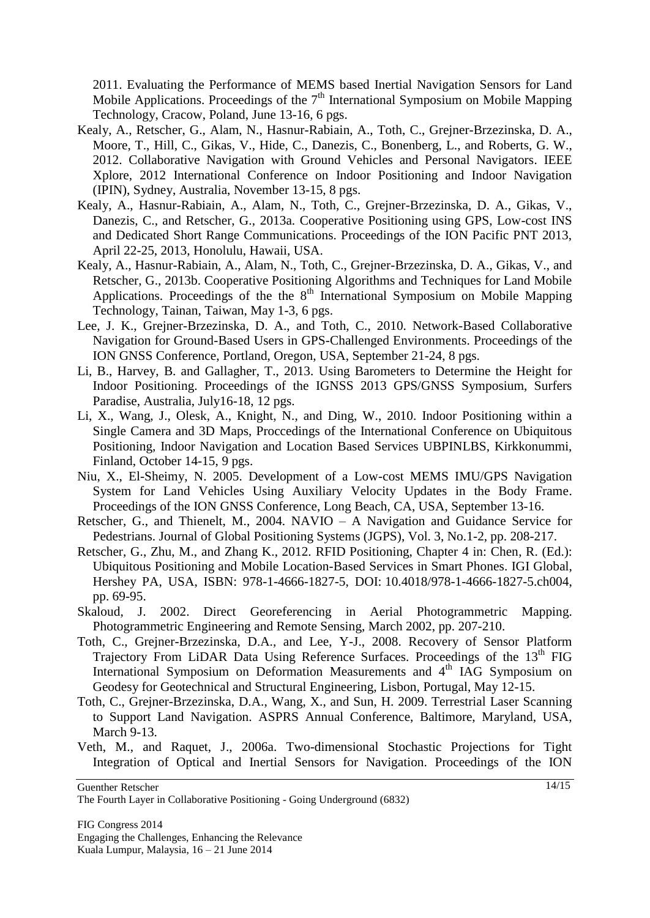2011. Evaluating the Performance of MEMS based Inertial Navigation Sensors for Land Mobile Applications. Proceedings of the  $7<sup>th</sup>$  International Symposium on Mobile Mapping Technology, Cracow, Poland, June 13-16, 6 pgs.

- Kealy, A., Retscher, G., Alam, N., Hasnur-Rabiain, A., Toth, C., Grejner-Brzezinska, D. A., Moore, T., Hill, C., Gikas, V., Hide, C., Danezis, C., Bonenberg, L., and Roberts, G. W., 2012. Collaborative Navigation with Ground Vehicles and Personal Navigators. IEEE Xplore, 2012 International Conference on Indoor Positioning and Indoor Navigation (IPIN), Sydney, Australia, November 13-15, 8 pgs.
- Kealy, A., Hasnur-Rabiain, A., Alam, N., Toth, C., Grejner-Brzezinska, D. A., Gikas, V., Danezis, C., and Retscher, G., 2013a. Cooperative Positioning using GPS, Low-cost INS and Dedicated Short Range Communications. Proceedings of the ION Pacific PNT 2013, April 22-25, 2013, Honolulu, Hawaii, USA.
- Kealy, A., Hasnur-Rabiain, A., Alam, N., Toth, C., Grejner-Brzezinska, D. A., Gikas, V., and Retscher, G., 2013b. Cooperative Positioning Algorithms and Techniques for Land Mobile Applications. Proceedings of the the  $8<sup>th</sup>$  International Symposium on Mobile Mapping Technology, Tainan, Taiwan, May 1-3, 6 pgs.
- Lee, J. K., Grejner-Brzezinska, D. A., and Toth, C., 2010. Network-Based Collaborative Navigation for Ground-Based Users in GPS-Challenged Environments. Proceedings of the ION GNSS Conference, Portland, Oregon, USA, September 21-24, 8 pgs.
- Li, B., Harvey, B. and Gallagher, T., 2013. Using Barometers to Determine the Height for Indoor Positioning. Proceedings of the IGNSS 2013 GPS/GNSS Symposium, Surfers Paradise, Australia, July16-18, 12 pgs.
- Li, X., Wang, J., Olesk, A., Knight, N., and Ding, W., 2010. Indoor Positioning within a Single Camera and 3D Maps, Proccedings of the International Conference on Ubiquitous Positioning, Indoor Navigation and Location Based Services UBPINLBS, Kirkkonummi, Finland, October 14-15, 9 pgs.
- Niu, X., El-Sheimy, N. 2005. Development of a Low-cost MEMS IMU/GPS Navigation System for Land Vehicles Using Auxiliary Velocity Updates in the Body Frame. Proceedings of the ION GNSS Conference, Long Beach, CA, USA, September 13-16.
- Retscher, G., and Thienelt, M., 2004. NAVIO A Navigation and Guidance Service for Pedestrians. Journal of Global Positioning Systems (JGPS), Vol. 3, No.1-2, pp. 208-217.
- Retscher, G., Zhu, M., and Zhang K., 2012. RFID Positioning, Chapter 4 in: Chen, R. (Ed.): Ubiquitous Positioning and Mobile Location-Based Services in Smart Phones. IGI Global, Hershey PA, USA, ISBN: 978-1-4666-1827-5, DOI: 10.4018/978-1-4666-1827-5.ch004, pp. 69-95.
- Skaloud, J. 2002. Direct Georeferencing in Aerial Photogrammetric Mapping. Photogrammetric Engineering and Remote Sensing, March 2002, pp. 207-210.
- Toth, C., Grejner-Brzezinska, D.A., and Lee, Y-J., 2008. Recovery of Sensor Platform Trajectory From LiDAR Data Using Reference Surfaces. Proceedings of the  $13<sup>th</sup>$  FIG International Symposium on Deformation Measurements and  $4<sup>th</sup>$  IAG Symposium on Geodesy for Geotechnical and Structural Engineering, Lisbon, Portugal, May 12-15.
- Toth, C., Grejner-Brzezinska, D.A., Wang, X., and Sun, H. 2009. Terrestrial Laser Scanning to Support Land Navigation. ASPRS Annual Conference, Baltimore, Maryland, USA, March 9-13.
- Veth, M., and Raquet, J., 2006a. Two-dimensional Stochastic Projections for Tight Integration of Optical and Inertial Sensors for Navigation. Proceedings of the ION

The Fourth Layer in Collaborative Positioning - Going Underground (6832)